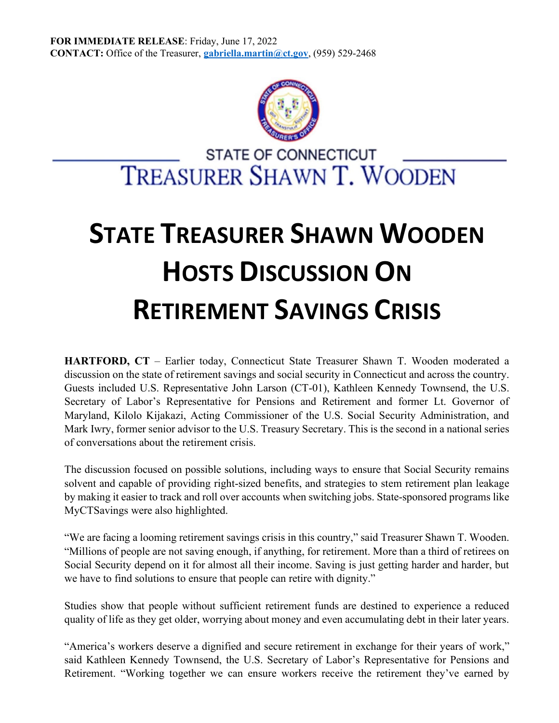

## **STATE TREASURER SHAWN WOODEN HOSTS DISCUSSION ON RETIREMENT SAVINGS CRISIS**

**HARTFORD, CT** – Earlier today, Connecticut State Treasurer Shawn T. Wooden moderated a discussion on the state of retirement savings and social security in Connecticut and across the country. Guests included U.S. Representative John Larson (CT-01), Kathleen Kennedy Townsend, the U.S. Secretary of Labor's Representative for Pensions and Retirement and former Lt. Governor of Maryland, Kilolo Kijakazi, Acting Commissioner of the U.S. Social Security Administration, and Mark Iwry, former senior advisor to the U.S. Treasury Secretary. This is the second in a national series of conversations about the retirement crisis.

The discussion focused on possible solutions, including ways to ensure that Social Security remains solvent and capable of providing right-sized benefits, and strategies to stem retirement plan leakage by making it easier to track and roll over accounts when switching jobs. State-sponsored programs like MyCTSavings were also highlighted.

"We are facing a looming retirement savings crisis in this country," said Treasurer Shawn T. Wooden. "Millions of people are not saving enough, if anything, for retirement. More than a third of retirees on Social Security depend on it for almost all their income. Saving is just getting harder and harder, but we have to find solutions to ensure that people can retire with dignity."

Studies show that people without sufficient retirement funds are destined to experience a reduced quality of life as they get older, worrying about money and even accumulating debt in their later years.

"America's workers deserve a dignified and secure retirement in exchange for their years of work," said Kathleen Kennedy Townsend, the U.S. Secretary of Labor's Representative for Pensions and Retirement. "Working together we can ensure workers receive the retirement they've earned by